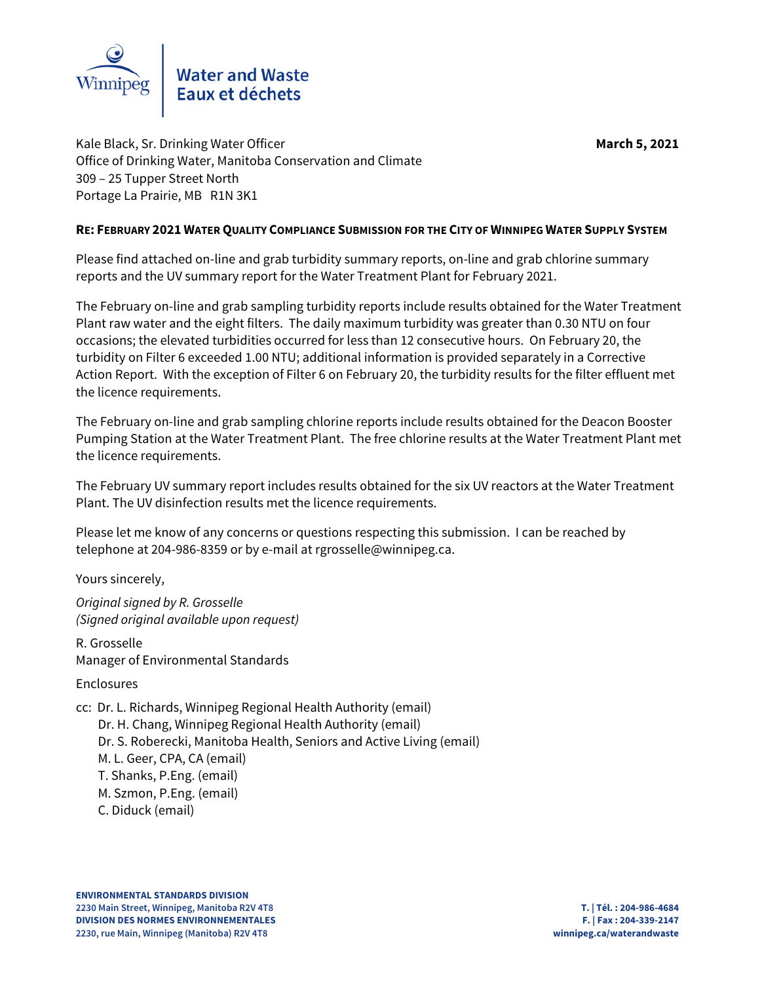

Kale Black, Sr. Drinking Water Officer **March 5, 2021 March 5, 2021** Office of Drinking Water, Manitoba Conservation and Climate 309 – 25 Tupper Street North Portage La Prairie, MB R1N 3K1

## **RE: FEBRUARY 2021 WATER QUALITY COMPLIANCE SUBMISSION FOR THE CITY OF WINNIPEG WATER SUPPLY SYSTEM**

Please find attached on-line and grab turbidity summary reports, on-line and grab chlorine summary reports and the UV summary report for the Water Treatment Plant for February 2021.

The February on-line and grab sampling turbidity reports include results obtained for the Water Treatment Plant raw water and the eight filters. The daily maximum turbidity was greater than 0.30 NTU on four occasions; the elevated turbidities occurred for less than 12 consecutive hours. On February 20, the turbidity on Filter 6 exceeded 1.00 NTU; additional information is provided separately in a Corrective Action Report. With the exception of Filter 6 on February 20, the turbidity results for the filter effluent met the licence requirements.

The February on-line and grab sampling chlorine reports include results obtained for the Deacon Booster Pumping Station at the Water Treatment Plant. The free chlorine results at the Water Treatment Plant met the licence requirements.

The February UV summary report includes results obtained for the six UV reactors at the Water Treatment Plant. The UV disinfection results met the licence requirements.

Please let me know of any concerns or questions respecting this submission. I can be reached by telephone at 204-986-8359 or by e-mail at rgrosselle@winnipeg.ca.

Yours sincerely,

Original signed by R. Grosselle (Signed original available upon request)

R. Grosselle Manager of Environmental Standards

Enclosures

cc: Dr. L. Richards, Winnipeg Regional Health Authority (email)

Dr. H. Chang, Winnipeg Regional Health Authority (email)

Dr. S. Roberecki, Manitoba Health, Seniors and Active Living (email)

M. L. Geer, CPA, CA (email)

T. Shanks, P.Eng. (email)

M. Szmon, P.Eng. (email)

C. Diduck (email)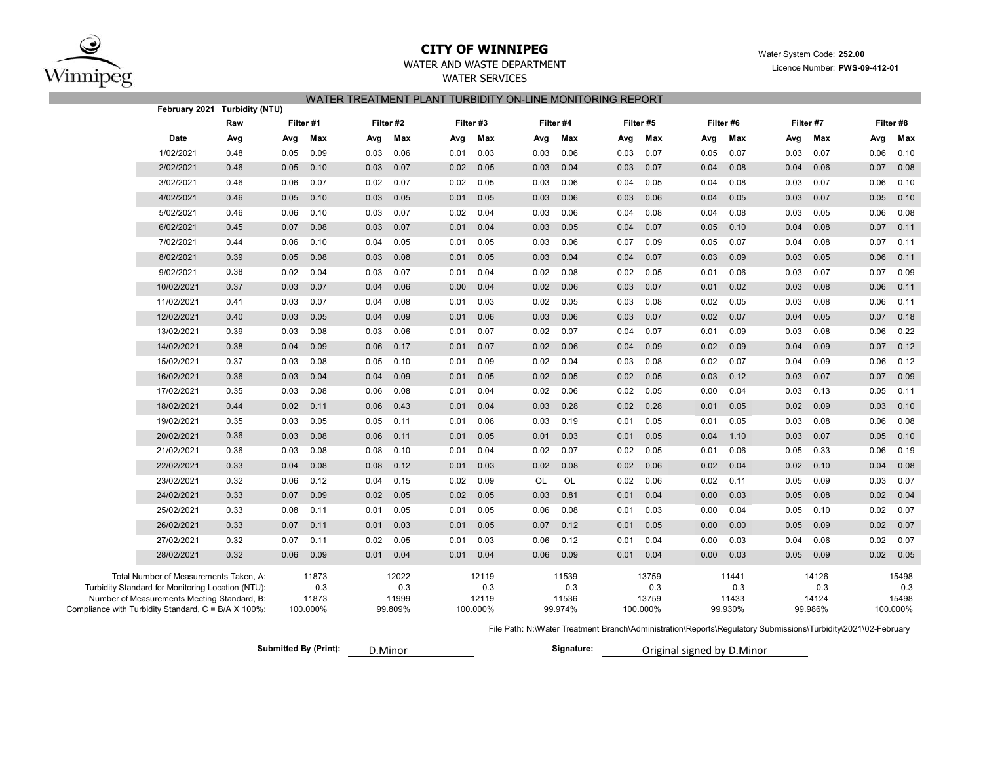

## **CITY OF WINNIPEG**WATER AND WASTE DEPARTMENT

 Water System Code: **252.00 PWS-09-412-01**

WATER SERVICES

|  | Licence Number: PWS-09 |  |
|--|------------------------|--|
|--|------------------------|--|

#### WATER TREATMENT PLANT TURBIDITY ON-LINE MONITORING REPORT

|                                                                                                    | February 2021 Turbidity (NTU)                     |      |      |              |      |              |      |              |      |              |      |              |      |              |      |              |      |              |
|----------------------------------------------------------------------------------------------------|---------------------------------------------------|------|------|--------------|------|--------------|------|--------------|------|--------------|------|--------------|------|--------------|------|--------------|------|--------------|
|                                                                                                    |                                                   | Raw  |      | Filter #1    |      | Filter #2    |      | Filter #3    |      | Filter #4    |      | Filter #5    |      | Filter #6    |      | Filter #7    |      | Filter #8    |
|                                                                                                    | Date                                              | Avg  | Avg  | Max          | Avg  | Max          | Avg  | Max          | Avg  | Max          | Avg  | Max          | Avg  | Max          | Avg  | Max          | Avg  | Max          |
|                                                                                                    | 1/02/2021                                         | 0.48 | 0.05 | 0.09         | 0.03 | 0.06         | 0.01 | 0.03         | 0.03 | 0.06         | 0.03 | 0.07         | 0.05 | 0.07         | 0.03 | 0.07         | 0.06 | 0.10         |
|                                                                                                    | 2/02/2021                                         | 0.46 | 0.05 | 0.10         | 0.03 | 0.07         | 0.02 | 0.05         | 0.03 | 0.04         | 0.03 | 0.07         | 0.04 | 0.08         | 0.04 | 0.06         | 0.07 | 0.08         |
|                                                                                                    | 3/02/2021                                         | 0.46 | 0.06 | 0.07         | 0.02 | 0.07         | 0.02 | 0.05         | 0.03 | 0.06         | 0.04 | 0.05         | 0.04 | 0.08         | 0.03 | 0.07         | 0.06 | 0.10         |
|                                                                                                    | 4/02/2021                                         | 0.46 | 0.05 | 0.10         | 0.03 | 0.05         | 0.01 | 0.05         | 0.03 | 0.06         | 0.03 | 0.06         | 0.04 | 0.05         | 0.03 | 0.07         | 0.05 | 0.10         |
|                                                                                                    | 5/02/2021                                         | 0.46 | 0.06 | 0.10         | 0.03 | 0.07         | 0.02 | 0.04         | 0.03 | 0.06         | 0.04 | 0.08         | 0.04 | 0.08         | 0.03 | 0.05         | 0.06 | 0.08         |
|                                                                                                    | 6/02/2021                                         | 0.45 | 0.07 | 0.08         | 0.03 | 0.07         | 0.01 | 0.04         | 0.03 | 0.05         | 0.04 | 0.07         | 0.05 | 0.10         | 0.04 | 0.08         | 0.07 | 0.11         |
|                                                                                                    | 7/02/2021                                         | 0.44 | 0.06 | 0.10         | 0.04 | 0.05         | 0.01 | 0.05         | 0.03 | 0.06         | 0.07 | 0.09         | 0.05 | 0.07         | 0.04 | 0.08         | 0.07 | 0.11         |
|                                                                                                    | 8/02/2021                                         | 0.39 | 0.05 | 0.08         | 0.03 | 0.08         | 0.01 | 0.05         | 0.03 | 0.04         | 0.04 | 0.07         | 0.03 | 0.09         | 0.03 | 0.05         | 0.06 | 0.11         |
|                                                                                                    | 9/02/2021                                         | 0.38 | 0.02 | 0.04         | 0.03 | 0.07         | 0.01 | 0.04         | 0.02 | 0.08         | 0.02 | 0.05         | 0.01 | 0.06         | 0.03 | 0.07         | 0.07 | 0.09         |
|                                                                                                    | 10/02/2021                                        | 0.37 | 0.03 | 0.07         | 0.04 | 0.06         | 0.00 | 0.04         | 0.02 | 0.06         | 0.03 | 0.07         | 0.01 | 0.02         | 0.03 | 0.08         | 0.06 | 0.11         |
|                                                                                                    | 11/02/2021                                        | 0.41 | 0.03 | 0.07         | 0.04 | 0.08         | 0.01 | 0.03         | 0.02 | 0.05         | 0.03 | 0.08         | 0.02 | 0.05         | 0.03 | 0.08         | 0.06 | 0.11         |
|                                                                                                    | 12/02/2021                                        | 0.40 | 0.03 | 0.05         | 0.04 | 0.09         | 0.01 | 0.06         | 0.03 | 0.06         | 0.03 | 0.07         | 0.02 | 0.07         | 0.04 | 0.05         | 0.07 | 0.18         |
|                                                                                                    | 13/02/2021                                        | 0.39 | 0.03 | 0.08         | 0.03 | 0.06         | 0.01 | 0.07         | 0.02 | 0.07         | 0.04 | 0.07         | 0.01 | 0.09         | 0.03 | 0.08         | 0.06 | 0.22         |
|                                                                                                    | 14/02/2021                                        | 0.38 | 0.04 | 0.09         | 0.06 | 0.17         | 0.01 | 0.07         | 0.02 | 0.06         | 0.04 | 0.09         | 0.02 | 0.09         | 0.04 | 0.09         | 0.07 | 0.12         |
|                                                                                                    | 15/02/2021                                        | 0.37 | 0.03 | 0.08         | 0.05 | 0.10         | 0.01 | 0.09         | 0.02 | 0.04         | 0.03 | 0.08         | 0.02 | 0.07         | 0.04 | 0.09         | 0.06 | 0.12         |
|                                                                                                    | 16/02/2021                                        | 0.36 | 0.03 | 0.04         | 0.04 | 0.09         | 0.01 | 0.05         | 0.02 | 0.05         | 0.02 | 0.05         | 0.03 | 0.12         | 0.03 | 0.07         | 0.07 | 0.09         |
|                                                                                                    | 17/02/2021                                        | 0.35 | 0.03 | 0.08         | 0.06 | 0.08         | 0.01 | 0.04         | 0.02 | 0.06         | 0.02 | 0.05         | 0.00 | 0.04         | 0.03 | 0.13         | 0.05 | 0.11         |
|                                                                                                    | 18/02/2021                                        | 0.44 | 0.02 | 0.11         | 0.06 | 0.43         | 0.01 | 0.04         | 0.03 | 0.28         | 0.02 | 0.28         | 0.01 | 0.05         | 0.02 | 0.09         | 0.03 | 0.10         |
|                                                                                                    | 19/02/2021                                        | 0.35 | 0.03 | 0.05         | 0.05 | 0.11         | 0.01 | 0.06         | 0.03 | 0.19         | 0.01 | 0.05         | 0.01 | 0.05         | 0.03 | 0.08         | 0.06 | 0.08         |
|                                                                                                    | 20/02/2021                                        | 0.36 | 0.03 | 0.08         | 0.06 | 0.11         | 0.01 | 0.05         | 0.01 | 0.03         | 0.01 | 0.05         | 0.04 | 1.10         | 0.03 | 0.07         | 0.05 | 0.10         |
|                                                                                                    | 21/02/2021                                        | 0.36 | 0.03 | 0.08         | 0.08 | 0.10         | 0.01 | 0.04         | 0.02 | 0.07         | 0.02 | 0.05         | 0.01 | 0.06         | 0.05 | 0.33         | 0.06 | 0.19         |
|                                                                                                    | 22/02/2021                                        | 0.33 | 0.04 | 0.08         | 0.08 | 0.12         | 0.01 | 0.03         | 0.02 | 0.08         | 0.02 | 0.06         | 0.02 | 0.04         | 0.02 | 0.10         | 0.04 | 0.08         |
|                                                                                                    | 23/02/2021                                        | 0.32 | 0.06 | 0.12         | 0.04 | 0.15         | 0.02 | 0.09         | OL   | OL           | 0.02 | 0.06         | 0.02 | 0.11         | 0.05 | 0.09         | 0.03 | 0.07         |
|                                                                                                    | 24/02/2021                                        | 0.33 | 0.07 | 0.09         | 0.02 | 0.05         | 0.02 | 0.05         | 0.03 | 0.81         | 0.01 | 0.04         | 0.00 | 0.03         | 0.05 | 0.08         | 0.02 | 0.04         |
|                                                                                                    | 25/02/2021                                        | 0.33 | 0.08 | 0.11         | 0.01 | 0.05         | 0.01 | 0.05         | 0.06 | 0.08         | 0.01 | 0.03         | 0.00 | 0.04         | 0.05 | 0.10         | 0.02 | 0.07         |
|                                                                                                    | 26/02/2021                                        | 0.33 | 0.07 | 0.11         | 0.01 | 0.03         | 0.01 | 0.05         | 0.07 | 0.12         | 0.01 | 0.05         | 0.00 | 0.00         | 0.05 | 0.09         | 0.02 | 0.07         |
|                                                                                                    | 27/02/2021                                        | 0.32 | 0.07 | 0.11         | 0.02 | 0.05         | 0.01 | 0.03         | 0.06 | 0.12         | 0.01 | 0.04         | 0.00 | 0.03         | 0.04 | 0.06         | 0.02 | 0.07         |
|                                                                                                    | 28/02/2021                                        | 0.32 | 0.06 | 0.09         | 0.01 | 0.04         | 0.01 | 0.04         | 0.06 | 0.09         | 0.01 | 0.04         | 0.00 | 0.03         | 0.05 | 0.09         | 0.02 | 0.05         |
|                                                                                                    | Total Number of Measurements Taken, A:            |      |      | 11873        |      | 12022        |      | 12119        |      | 11539        |      | 13759        |      | 11441        |      | 14126        |      | 15498        |
|                                                                                                    | Turbidity Standard for Monitoring Location (NTU): |      |      | 0.3<br>11873 |      | 0.3<br>11999 |      | 0.3<br>12119 |      | 0.3<br>11536 |      | 0.3<br>13759 |      | 0.3<br>11433 |      | 0.3<br>14124 |      | 0.3<br>15498 |
| Number of Measurements Meeting Standard, B:<br>Compliance with Turbidity Standard, C = B/A X 100%: |                                                   |      |      | 100.000%     |      | 99.809%      |      | 100.000%     |      | 99.974%      |      | 100.000%     |      | 99.930%      |      | 99.986%      |      | 100.000%     |

File Path: N:\Water Treatment Branch\Administration\Reports\Regulatory Submissions\Turbidity\2021\02-February

**Submitted By (Print): Signature:**

Original signed by D.Minor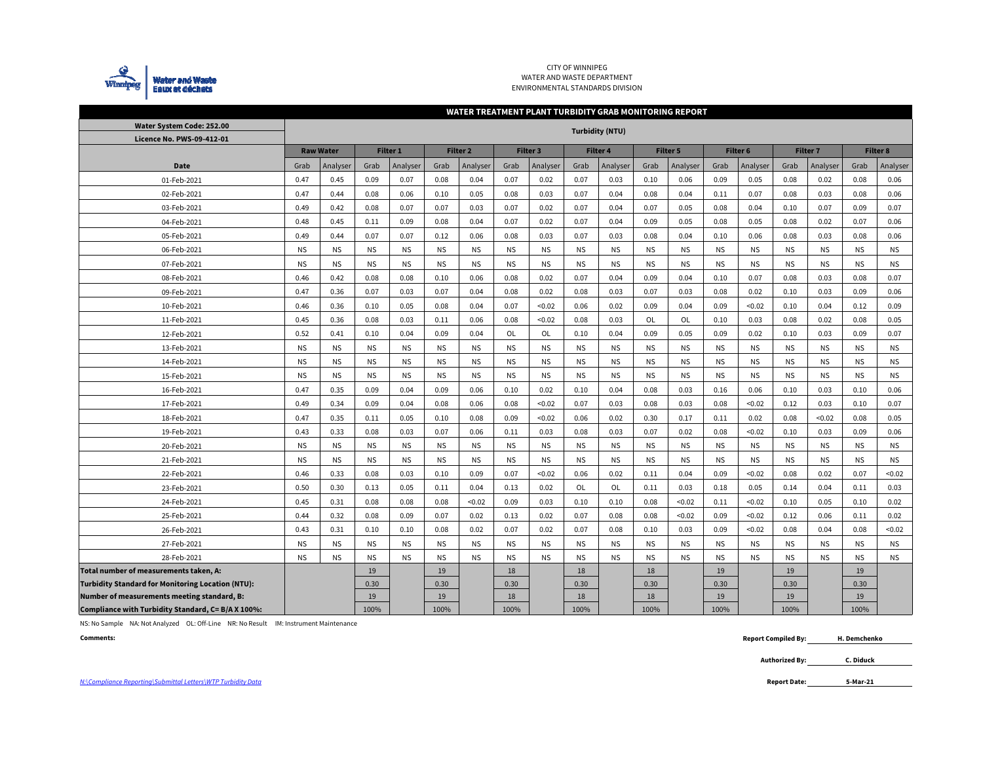

CITY OF WINNIPEGWATER AND WASTE DEPARTMENT ENVIRONMENTAL STANDARDS DIVISION

#### **WATER TREATMENT PLANT TURBIDITY GRAB MONITORING REPORT**

| Water System Code: 252.00                                | <b>Turbidity (NTU)</b> |                  |           |           |           |                     |           |                 |           |                 |           |                 |           |           |           |                 |           |                 |
|----------------------------------------------------------|------------------------|------------------|-----------|-----------|-----------|---------------------|-----------|-----------------|-----------|-----------------|-----------|-----------------|-----------|-----------|-----------|-----------------|-----------|-----------------|
| Licence No. PWS-09-412-01                                |                        | <b>Raw Water</b> |           | Filter 1  |           | Filter <sub>2</sub> |           | <b>Filter 3</b> |           | <b>Filter 4</b> |           | <b>Filter 5</b> |           | Filter 6  |           | <b>Filter 7</b> |           | <b>Filter 8</b> |
|                                                          |                        |                  |           |           |           |                     |           |                 |           |                 | Grab      |                 |           |           |           |                 |           |                 |
| <b>Date</b>                                              | Grab                   | Analyser         | Grab      | Analyser  | Grab      | Analyser            | Grab      | Analyser        | Grab      | Analyser        |           | Analyser        | Grab      | Analyser  | Grab      | Analyser        | Grab      | Analyser        |
| 01-Feb-2021                                              | 0.47                   | 0.45             | 0.09      | 0.07      | 0.08      | 0.04                | 0.07      | 0.02            | 0.07      | 0.03            | 0.10      | 0.06            | 0.09      | 0.05      | 0.08      | 0.02            | 0.08      | 0.06            |
| 02-Feb-2021                                              | 0.47                   | 0.44             | 0.08      | 0.06      | 0.10      | 0.05                | 0.08      | 0.03            | 0.07      | 0.04            | 0.08      | 0.04            | 0.11      | 0.07      | 0.08      | 0.03            | 0.08      | 0.06            |
| 03-Feb-2021                                              | 0.49                   | 0.42             | 0.08      | 0.07      | 0.07      | 0.03                | 0.07      | 0.02            | 0.07      | 0.04            | 0.07      | 0.05            | 0.08      | 0.04      | 0.10      | 0.07            | 0.09      | 0.07            |
| 04-Feb-2021                                              | 0.48                   | 0.45             | 0.11      | 0.09      | 0.08      | 0.04                | 0.07      | 0.02            | 0.07      | 0.04            | 0.09      | 0.05            | 0.08      | 0.05      | 0.08      | 0.02            | 0.07      | 0.06            |
| 05-Feb-2021                                              | 0.49                   | 0.44             | 0.07      | 0.07      | 0.12      | 0.06                | 0.08      | 0.03            | 0.07      | 0.03            | 0.08      | 0.04            | 0.10      | 0.06      | 0.08      | 0.03            | 0.08      | 0.06            |
| 06-Feb-2021                                              | <b>NS</b>              | <b>NS</b>        | <b>NS</b> | <b>NS</b> | <b>NS</b> | <b>NS</b>           | <b>NS</b> | <b>NS</b>       | <b>NS</b> | <b>NS</b>       | <b>NS</b> | <b>NS</b>       | <b>NS</b> | <b>NS</b> | <b>NS</b> | <b>NS</b>       | <b>NS</b> | <b>NS</b>       |
| 07-Feb-2021                                              | <b>NS</b>              | <b>NS</b>        | <b>NS</b> | <b>NS</b> | <b>NS</b> | <b>NS</b>           | <b>NS</b> | <b>NS</b>       | <b>NS</b> | <b>NS</b>       | <b>NS</b> | <b>NS</b>       | <b>NS</b> | <b>NS</b> | <b>NS</b> | <b>NS</b>       | <b>NS</b> | <b>NS</b>       |
| 08-Feb-2021                                              | 0.46                   | 0.42             | 0.08      | 0.08      | 0.10      | 0.06                | 0.08      | 0.02            | 0.07      | 0.04            | 0.09      | 0.04            | 0.10      | 0.07      | 0.08      | 0.03            | 0.08      | 0.07            |
| 09-Feb-2021                                              | 0.47                   | 0.36             | 0.07      | 0.03      | 0.07      | 0.04                | 0.08      | 0.02            | 0.08      | 0.03            | 0.07      | 0.03            | 0.08      | 0.02      | 0.10      | 0.03            | 0.09      | 0.06            |
| 10-Feb-2021                                              | 0.46                   | 0.36             | 0.10      | 0.05      | 0.08      | 0.04                | 0.07      | < 0.02          | 0.06      | 0.02            | 0.09      | 0.04            | 0.09      | < 0.02    | 0.10      | 0.04            | 0.12      | 0.09            |
| 11-Feb-2021                                              | 0.45                   | 0.36             | 0.08      | 0.03      | 0.11      | 0.06                | 0.08      | < 0.02          | 0.08      | 0.03            | OL        | OL              | 0.10      | 0.03      | 0.08      | 0.02            | 0.08      | 0.05            |
| 12-Feb-2021                                              | 0.52                   | 0.41             | 0.10      | 0.04      | 0.09      | 0.04                | OL        | OL              | 0.10      | 0.04            | 0.09      | 0.05            | 0.09      | 0.02      | 0.10      | 0.03            | 0.09      | 0.07            |
| 13-Feb-2021                                              | <b>NS</b>              | <b>NS</b>        | <b>NS</b> | <b>NS</b> | <b>NS</b> | <b>NS</b>           | <b>NS</b> | <b>NS</b>       | <b>NS</b> | <b>NS</b>       | <b>NS</b> | <b>NS</b>       | <b>NS</b> | <b>NS</b> | <b>NS</b> | <b>NS</b>       | <b>NS</b> | <b>NS</b>       |
| 14-Feb-2021                                              | <b>NS</b>              | <b>NS</b>        | <b>NS</b> | <b>NS</b> | <b>NS</b> | <b>NS</b>           | <b>NS</b> | <b>NS</b>       | <b>NS</b> | <b>NS</b>       | <b>NS</b> | <b>NS</b>       | <b>NS</b> | <b>NS</b> | <b>NS</b> | <b>NS</b>       | <b>NS</b> | <b>NS</b>       |
| 15-Feb-2021                                              | <b>NS</b>              | <b>NS</b>        | <b>NS</b> | <b>NS</b> | <b>NS</b> | <b>NS</b>           | <b>NS</b> | <b>NS</b>       | <b>NS</b> | <b>NS</b>       | <b>NS</b> | <b>NS</b>       | <b>NS</b> | <b>NS</b> | <b>NS</b> | <b>NS</b>       | <b>NS</b> | <b>NS</b>       |
| 16-Feb-2021                                              | 0.47                   | 0.35             | 0.09      | 0.04      | 0.09      | 0.06                | 0.10      | 0.02            | 0.10      | 0.04            | 0.08      | 0.03            | 0.16      | 0.06      | 0.10      | 0.03            | 0.10      | 0.06            |
| 17-Feb-2021                                              | 0.49                   | 0.34             | 0.09      | 0.04      | 0.08      | 0.06                | 0.08      | < 0.02          | 0.07      | 0.03            | 0.08      | 0.03            | 0.08      | < 0.02    | 0.12      | 0.03            | 0.10      | 0.07            |
| 18-Feb-2021                                              | 0.47                   | 0.35             | 0.11      | 0.05      | 0.10      | 0.08                | 0.09      | < 0.02          | 0.06      | 0.02            | 0.30      | 0.17            | 0.11      | 0.02      | 0.08      | < 0.02          | 0.08      | 0.05            |
| 19-Feb-2021                                              | 0.43                   | 0.33             | 0.08      | 0.03      | 0.07      | 0.06                | 0.11      | 0.03            | 0.08      | 0.03            | 0.07      | 0.02            | 0.08      | < 0.02    | 0.10      | 0.03            | 0.09      | 0.06            |
| 20-Feb-2021                                              | <b>NS</b>              | <b>NS</b>        | <b>NS</b> | <b>NS</b> | <b>NS</b> | <b>NS</b>           | <b>NS</b> | <b>NS</b>       | <b>NS</b> | <b>NS</b>       | NS.       | <b>NS</b>       | <b>NS</b> | <b>NS</b> | <b>NS</b> | <b>NS</b>       | <b>NS</b> | <b>NS</b>       |
| 21-Feb-2021                                              | <b>NS</b>              | <b>NS</b>        | <b>NS</b> | <b>NS</b> | <b>NS</b> | <b>NS</b>           | <b>NS</b> | <b>NS</b>       | <b>NS</b> | <b>NS</b>       | <b>NS</b> | <b>NS</b>       | <b>NS</b> | <b>NS</b> | <b>NS</b> | <b>NS</b>       | <b>NS</b> | <b>NS</b>       |
| 22-Feb-2021                                              | 0.46                   | 0.33             | 0.08      | 0.03      | 0.10      | 0.09                | 0.07      | < 0.02          | 0.06      | 0.02            | 0.11      | 0.04            | 0.09      | < 0.02    | 0.08      | 0.02            | 0.07      | < 0.02          |
| 23-Feb-2021                                              | 0.50                   | 0.30             | 0.13      | 0.05      | 0.11      | 0.04                | 0.13      | 0.02            | OL        | OL              | 0.11      | 0.03            | 0.18      | 0.05      | 0.14      | 0.04            | 0.11      | 0.03            |
| 24-Feb-2021                                              | 0.45                   | 0.31             | 0.08      | 0.08      | 0.08      | < 0.02              | 0.09      | 0.03            | 0.10      | 0.10            | 0.08      | < 0.02          | 0.11      | < 0.02    | 0.10      | 0.05            | 0.10      | 0.02            |
| 25-Feb-2021                                              | 0.44                   | 0.32             | 0.08      | 0.09      | 0.07      | 0.02                | 0.13      | 0.02            | 0.07      | 0.08            | 0.08      | < 0.02          | 0.09      | < 0.02    | 0.12      | 0.06            | 0.11      | 0.02            |
| 26-Feb-2021                                              | 0.43                   | 0.31             | 0.10      | 0.10      | 0.08      | 0.02                | 0.07      | 0.02            | 0.07      | 0.08            | 0.10      | 0.03            | 0.09      | < 0.02    | 0.08      | 0.04            | 0.08      | < 0.02          |
| 27-Feb-2021                                              | <b>NS</b>              | <b>NS</b>        | <b>NS</b> | <b>NS</b> | <b>NS</b> | <b>NS</b>           | <b>NS</b> | <b>NS</b>       | <b>NS</b> | <b>NS</b>       | <b>NS</b> | <b>NS</b>       | <b>NS</b> | <b>NS</b> | <b>NS</b> | <b>NS</b>       | <b>NS</b> | <b>NS</b>       |
| 28-Feb-2021                                              | <b>NS</b>              | <b>NS</b>        | <b>NS</b> | <b>NS</b> | <b>NS</b> | <b>NS</b>           | <b>NS</b> | <b>NS</b>       | <b>NS</b> | <b>NS</b>       | <b>NS</b> | <b>NS</b>       | <b>NS</b> | <b>NS</b> | <b>NS</b> | <b>NS</b>       | <b>NS</b> | <b>NS</b>       |
| Total number of measurements taken, A:                   |                        |                  | 19        |           | 19        |                     | 18        |                 | 18        |                 | 18        |                 | 19        |           | 19        |                 | 19        |                 |
| <b>Turbidity Standard for Monitoring Location (NTU):</b> |                        |                  | 0.30      |           | 0.30      |                     | 0.30      |                 | 0.30      |                 | 0.30      |                 | 0.30      |           | 0.30      |                 | 0.30      |                 |
| Number of measurements meeting standard, B:              |                        |                  | 19        |           | 19        |                     | 18        |                 | 18        |                 | 18        |                 | 19        |           | 19        |                 | 19        |                 |
| Compliance with Turbidity Standard, C= B/A X 100%:       |                        |                  | 100%      |           | 100%      |                     | 100%      |                 | 100%      |                 | 100%      |                 | 100%      |           | 100%      |                 | 100%      |                 |

NS: No Sample NA: Not Analyzed OL: Off-Line NR: No Result IM: Instrument Maintenance

**Comments:**

 **Report Compiled By: H. Demchenko**

> **Authorized By: C. Diduck**

**5-Mar-21**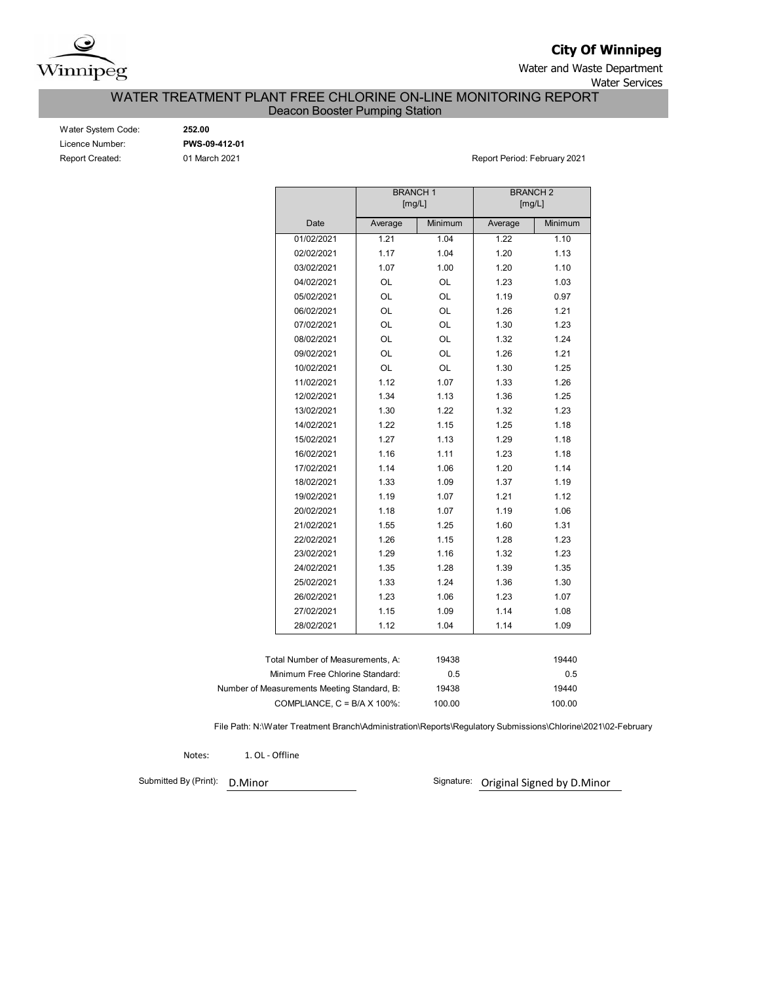

**City Of Winnipeg**

Water and Waste Department Water Services

WATER TREATMENT PLANT FREE CHLORINE ON-LINE MONITORING REPORT

Deacon Booster Pumping Station

| Water System Code: |
|--------------------|
| Licence Number:    |
| Report Created:    |

Water System Code: **252.00** Licence Number: **PWS-09-412-01**

01 March 2021 **Report Period: February 2021** 

|                                             |         | <b>BRANCH1</b><br>[mg/L] | <b>BRANCH2</b><br>[mg/L] |         |
|---------------------------------------------|---------|--------------------------|--------------------------|---------|
| Date                                        | Average | Minimum                  | Average                  | Minimum |
| 01/02/2021                                  | 1.21    | 1.04                     | 1.22                     | 1.10    |
| 02/02/2021                                  | 1.17    | 1.04                     | 1.20                     | 1.13    |
| 03/02/2021                                  | 1.07    | 1.00                     | 1.20                     | 1.10    |
| 04/02/2021                                  | OL      | OL                       | 1.23                     | 1.03    |
| 05/02/2021                                  | OL      | OL                       | 1.19                     | 0.97    |
| 06/02/2021                                  | OL      | OL                       | 1.26                     | 1.21    |
| 07/02/2021                                  | OL      | OL                       | 1.30                     | 1.23    |
| 08/02/2021                                  | OL      | OL                       | 1.32                     | 1.24    |
| 09/02/2021                                  | OL      | OL                       | 1.26                     | 1.21    |
| 10/02/2021                                  | OL      | OL                       | 1.30                     | 1.25    |
| 11/02/2021                                  | 1.12    | 1.07                     | 1.33                     | 1.26    |
| 12/02/2021                                  | 1.34    | 1.13                     | 1.36                     | 1.25    |
| 13/02/2021                                  | 1.30    | 1.22                     | 1.32                     | 1.23    |
| 14/02/2021                                  | 1.22    | 1.15                     | 1.25                     | 1.18    |
| 15/02/2021                                  | 1.27    | 1.13                     | 1.29                     | 1.18    |
| 16/02/2021                                  | 1.16    | 1.11                     | 1.23                     | 1.18    |
| 17/02/2021                                  | 1.14    | 1.06                     | 1.20                     | 1.14    |
| 18/02/2021                                  | 1.33    | 1.09                     | 1.37                     | 1.19    |
| 19/02/2021                                  | 1.19    | 1.07                     | 1.21                     | 1.12    |
| 20/02/2021                                  | 1.18    | 1.07                     | 1.19                     | 1.06    |
| 21/02/2021                                  | 1.55    | 1.25                     | 1.60                     | 1.31    |
| 22/02/2021                                  | 1.26    | 1.15                     | 1.28                     | 1.23    |
| 23/02/2021                                  | 1.29    | 1.16                     | 1.32                     | 1.23    |
| 24/02/2021                                  | 1.35    | 1.28                     | 1.39                     | 1.35    |
| 25/02/2021                                  | 1.33    | 1.24                     | 1.36                     | 1.30    |
| 26/02/2021                                  | 1.23    | 1.06                     | 1.23                     | 1.07    |
| 27/02/2021                                  | 1.15    | 1.09                     | 1.14                     | 1.08    |
| 28/02/2021                                  | 1.12    | 1.04                     | 1.14                     | 1.09    |
|                                             |         |                          |                          |         |
| Total Number of Measurements, A:            |         | 19438                    |                          | 19440   |
| Minimum Free Chlorine Standard:             |         | 0.5                      |                          | 0.5     |
| Number of Measurements Meeting Standard, B: |         | 19438                    |                          | 19440   |
| COMPLIANCE, $C = B/A \times 100\%$ :        |         | 100.00                   |                          | 100.00  |

File Path: N:\Water Treatment Branch\Administration\Reports\Regulatory Submissions\Chlorine\2021\02-February

Notes: 1. OL - Offline

Submitted By (Print): D.Minor

Signature: Original Signed by D.Minor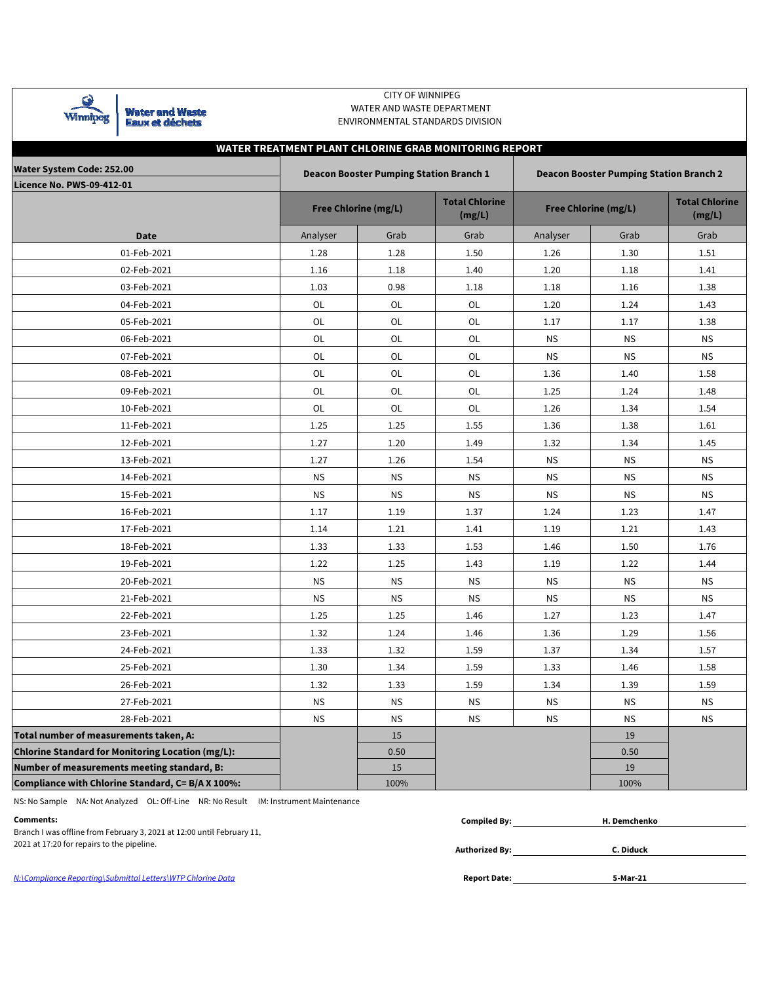

Water and Waste<br>Eaux et déchets

### CITY OF WINNIPEG WATER AND WASTE DEPARTMENT ENVIRONMENTAL STANDARDS DIVISION

## **WATER TREATMENT PLANT CHLORINE GRAB MONITORING REPORT**

| <b>Water System Code: 252.00</b>                  |           | <b>Deacon Booster Pumping Station Branch 1</b> |                                 | <b>Deacon Booster Pumping Station Branch 2</b> |                      |                                 |  |  |  |  |  |
|---------------------------------------------------|-----------|------------------------------------------------|---------------------------------|------------------------------------------------|----------------------|---------------------------------|--|--|--|--|--|
| <b>Licence No. PWS-09-412-01</b>                  |           |                                                |                                 |                                                |                      |                                 |  |  |  |  |  |
|                                                   |           | Free Chlorine (mg/L)                           | <b>Total Chlorine</b><br>(mg/L) |                                                | Free Chlorine (mg/L) | <b>Total Chlorine</b><br>(mg/L) |  |  |  |  |  |
| <b>Date</b>                                       | Analyser  | Grab                                           | Grab                            | Analyser                                       | Grab                 | Grab                            |  |  |  |  |  |
| 01-Feb-2021                                       | 1.28      | 1.28                                           | 1.50                            | 1.26                                           | 1.30                 | 1.51                            |  |  |  |  |  |
| 02-Feb-2021                                       | 1.16      | 1.18                                           | 1.40                            | 1.20                                           | 1.18                 | 1.41                            |  |  |  |  |  |
| 03-Feb-2021                                       | 1.03      | 0.98                                           | 1.18                            | 1.18                                           | 1.16                 | 1.38                            |  |  |  |  |  |
| 04-Feb-2021                                       | OL        | OL                                             | OL                              | 1.20                                           | 1.24                 | 1.43                            |  |  |  |  |  |
| 05-Feb-2021                                       | OL        | OL                                             | OL                              | 1.17                                           | 1.17                 | 1.38                            |  |  |  |  |  |
| 06-Feb-2021                                       | OL        | OL                                             | OL                              | <b>NS</b>                                      | <b>NS</b>            | <b>NS</b>                       |  |  |  |  |  |
| 07-Feb-2021                                       | OL        | OL                                             | OL                              | <b>NS</b>                                      | <b>NS</b>            | <b>NS</b>                       |  |  |  |  |  |
| 08-Feb-2021                                       | OL        | OL                                             | OL                              | 1.36                                           | 1.40                 | 1.58                            |  |  |  |  |  |
| 09-Feb-2021                                       | OL        | OL                                             | OL                              | 1.25                                           | 1.24                 | 1.48                            |  |  |  |  |  |
| 10-Feb-2021                                       | OL        | OL                                             | OL                              | 1.26                                           | 1.34                 | 1.54                            |  |  |  |  |  |
| 11-Feb-2021                                       | 1.25      | 1.25                                           | 1.55                            | 1.36                                           | 1.38                 | 1.61                            |  |  |  |  |  |
| 12-Feb-2021                                       | 1.27      | 1.20                                           | 1.49                            | 1.32                                           | 1.34                 | 1.45                            |  |  |  |  |  |
| 13-Feb-2021                                       | 1.27      | 1.26                                           | 1.54                            | <b>NS</b>                                      | <b>NS</b>            | <b>NS</b>                       |  |  |  |  |  |
| 14-Feb-2021                                       | <b>NS</b> | <b>NS</b>                                      | <b>NS</b>                       | <b>NS</b>                                      | <b>NS</b>            | <b>NS</b>                       |  |  |  |  |  |
| 15-Feb-2021                                       | <b>NS</b> | <b>NS</b>                                      | <b>NS</b>                       | <b>NS</b>                                      | <b>NS</b>            | <b>NS</b>                       |  |  |  |  |  |
| 16-Feb-2021                                       | 1.17      | 1.19                                           | 1.37                            | 1.24                                           | 1.23                 | 1.47                            |  |  |  |  |  |
| 17-Feb-2021                                       | 1.14      | 1.21                                           | 1.41                            | 1.19                                           | 1.21                 | 1.43                            |  |  |  |  |  |
| 18-Feb-2021                                       | 1.33      | 1.33                                           | 1.53                            | 1.46                                           | 1.50                 | 1.76                            |  |  |  |  |  |
| 19-Feb-2021                                       | 1.22      | 1.25                                           | 1.43                            | 1.19                                           | 1.22                 | 1.44                            |  |  |  |  |  |
| 20-Feb-2021                                       | <b>NS</b> | <b>NS</b>                                      | <b>NS</b>                       | <b>NS</b>                                      | <b>NS</b>            | <b>NS</b>                       |  |  |  |  |  |
| 21-Feb-2021                                       | <b>NS</b> | <b>NS</b>                                      | <b>NS</b>                       | <b>NS</b>                                      | <b>NS</b>            | <b>NS</b>                       |  |  |  |  |  |
| 22-Feb-2021                                       | 1.25      | 1.25                                           | 1.46                            | 1.27                                           | 1.23                 | 1.47                            |  |  |  |  |  |
| 23-Feb-2021                                       | 1.32      | 1.24                                           | 1.46                            | 1.36                                           | 1.29                 | 1.56                            |  |  |  |  |  |
| 24-Feb-2021                                       | 1.33      | 1.32                                           | 1.59                            | 1.37                                           | 1.34                 | 1.57                            |  |  |  |  |  |
| 25-Feb-2021                                       | 1.30      | 1.34                                           | 1.59                            | 1.33                                           | 1.46                 | 1.58                            |  |  |  |  |  |
| 26-Feb-2021                                       | 1.32      | 1.33                                           | 1.59                            | 1.34                                           | 1.39                 | 1.59                            |  |  |  |  |  |
| 27-Feb-2021                                       | <b>NS</b> | <b>NS</b>                                      | ΝS                              | <b>NS</b>                                      | ΝS                   | <b>NS</b>                       |  |  |  |  |  |
| 28-Feb-2021                                       | <b>NS</b> | <b>NS</b>                                      | <b>NS</b>                       | <b>NS</b>                                      | <b>NS</b>            | <b>NS</b>                       |  |  |  |  |  |
| Total number of measurements taken, A:            |           | 15                                             |                                 |                                                | 19                   |                                 |  |  |  |  |  |
| Chlorine Standard for Monitoring Location (mg/L): |           | 0.50                                           |                                 |                                                | 0.50                 |                                 |  |  |  |  |  |
| Number of measurements meeting standard, B:       |           | 15                                             |                                 |                                                | 19                   |                                 |  |  |  |  |  |
| Compliance with Chlorine Standard, C= B/A X 100%: |           | 100%                                           |                                 |                                                | 100%                 |                                 |  |  |  |  |  |

NS: No Sample NA: Not Analyzed OL: Off-Line NR: No Result IM: Instrument Maintenance

| Comments:                                                              | <b>Compiled By:</b>   | H. Demchenko |  |
|------------------------------------------------------------------------|-----------------------|--------------|--|
| Branch I was offline from February 3, 2021 at 12:00 until February 11, |                       |              |  |
| 2021 at 17:20 for repairs to the pipeline.                             | <b>Authorized By:</b> | C. Diduck    |  |
| N:\Compliance Reporting\Submittal Letters\WTP Chlorine Data            | <b>Report Date:</b>   | 5-Mar-21     |  |